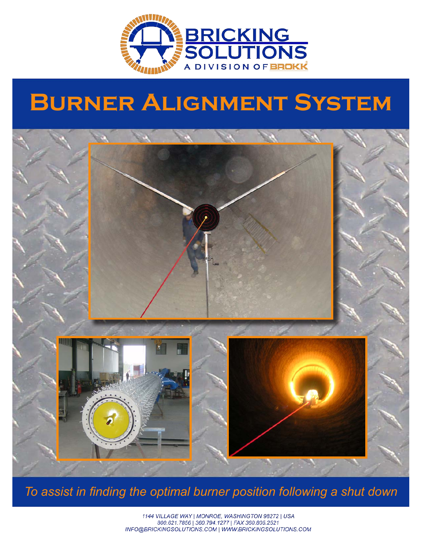

## **Burner Alignment System**



*To assist in finding the optimal burner position following a shut down*

1144 VILLAGE WAY | MONROE, WASHINGTON 98272 | USA 800.621.7856 | 360.794.1277 | FAX 360.805.2521 INFO@BRICKINGSOLUTIONS.COM | WWW.BRICKINGSOLUTIONS.COM